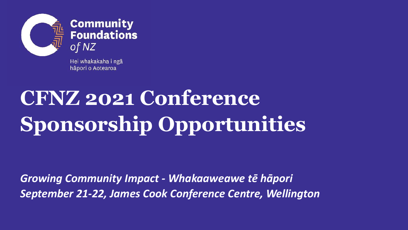

**Community<br>Foundations** 

Hei whakakaha i ngā hāpori o Aotearoa

## **CFNZ 2021 Conference Sponsorship Opportunities**

*Growing Community Impact - Whakaaweawe tē hāpori September 21-22, James Cook Conference Centre, Wellington*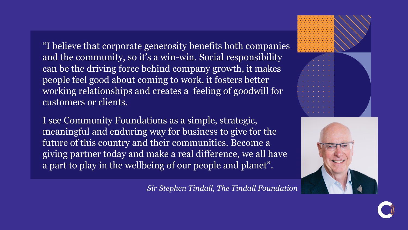"I believe that corporate generosity benefits both companies and the community, so it's a win-win. Social responsibility can be the driving force behind company growth, it makes people feel good about coming to work, it fosters better working relationships and creates a feeling of goodwill for customers or clients.

I see Community Foundations as a simple, strategic, meaningful and enduring way for business to give for the future of this country and their communities. Become a giving partner today and make a real difference, we all have a part to play in the wellbeing of our people and planet".





#### *Sir Stephen Tindall, The Tindall Foundation*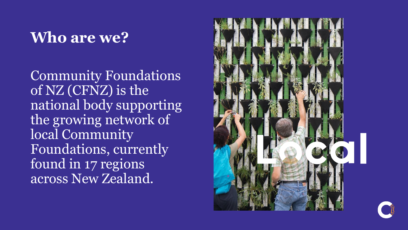#### **Who are we?**

Community Foundations of NZ (CFNZ) is the national body supporting the growing network of local Community Foundations, currently found in 17 regions across New Zealand.

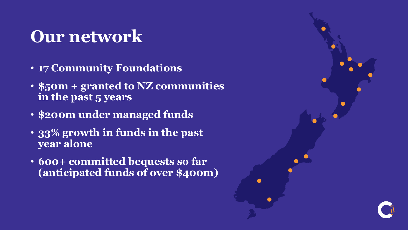### **Our network**

- **17 Community Foundations**
- **\$50m + granted to NZ communities in the past 5 years**
- **\$200m under managed funds**
- **33% growth in funds in the past year alone**
- **600+ committed bequests so far (anticipated funds of over \$400m)**

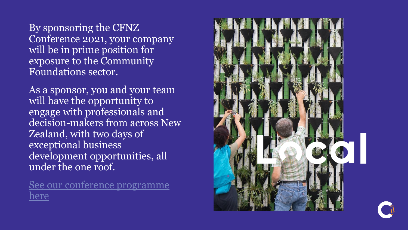By sponsoring the CFNZ Conference 2021, your company will be in prime position for exposure to the Community Foundations sector.

As a sponsor, you and your team will have the opportunity to engage with professionals and decision-makers from across New Zealand, with two days of exceptional business development opportunities, all under the one roof.

[See our conference programme](https://communityfoundations.org.nz/cfnz-conference-programme-2021) here

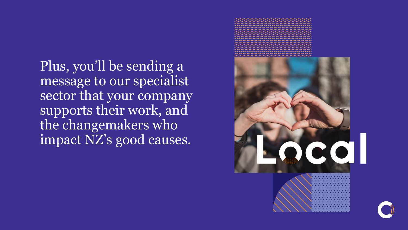Plus, you'll be sending a message to our specialist sector that your company supports their work, and the changemakers who impact NZ's good causes.



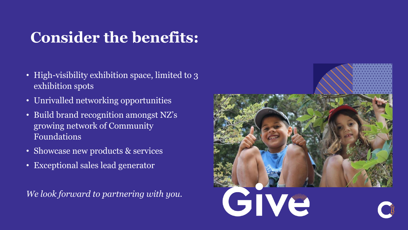#### **Consider the benefits:**

- High-visibility exhibition space, limited to 3 exhibition spots
- Unrivalled networking opportunities
- Build brand recognition amongst NZ's growing network of Community Foundations
- Showcase new products & services
- Exceptional sales lead generator

*We look forward to partnering with you.*

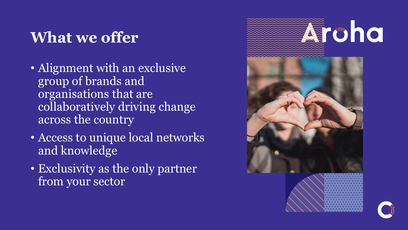#### **What we offer**

- Alignment with an exclusive group of brands and organisations that are collaboratively driving change across the country
- Access to unique local networks and knowledge
- Exclusivity as the only partner from your sector

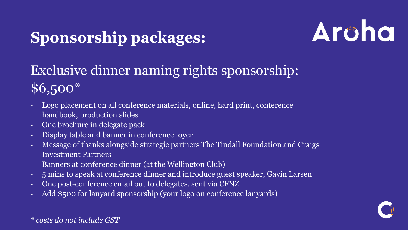#### **Sponsorship packages:**



#### Exclusive dinner naming rights sponsorship: \$6,500\*

- Logo placement on all conference materials, online, hard print, conference handbook, production slides
- One brochure in delegate pack
- Display table and banner in conference foyer
- Message of thanks alongside strategic partners The Tindall Foundation and Craigs Investment Partners
- Banners at conference dinner (at the Wellington Club)
- 5 mins to speak at conference dinner and introduce guest speaker, Gavin Larsen
- One post-conference email out to delegates, sent via CFNZ
- Add \$500 for lanyard sponsorship (your logo on conference lanyards)



*\* costs do not include GST*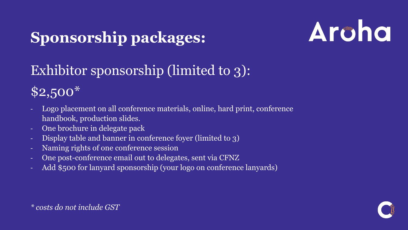#### **Sponsorship packages:**

# Archa

#### Exhibitor sponsorship (limited to 3):

\$2,500\*

- Logo placement on all conference materials, online, hard print, conference handbook, production slides.
- One brochure in delegate pack
- Display table and banner in conference foyer (limited to 3)
- Naming rights of one conference session
- One post-conference email out to delegates, sent via CFNZ
- Add \$500 for lanyard sponsorship (your logo on conference lanyards)



*\* costs do not include GST*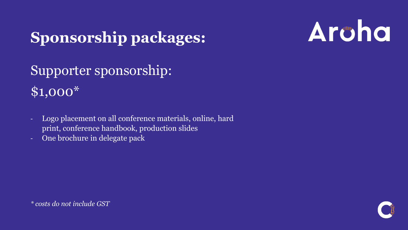#### **Sponsorship packages:**



Supporter sponsorship: \$1,000\*

- Logo placement on all conference materials, online, hard print, conference handbook, production slides
- One brochure in delegate pack



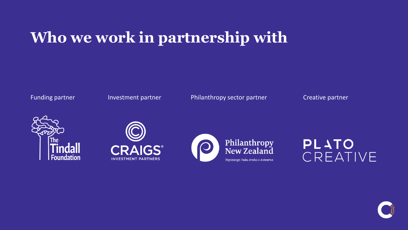#### **Who we work in partnership with**

Funding partner **Investment partner** Philanthropy sector partner Creative partner







**PLATO** CREATIVE